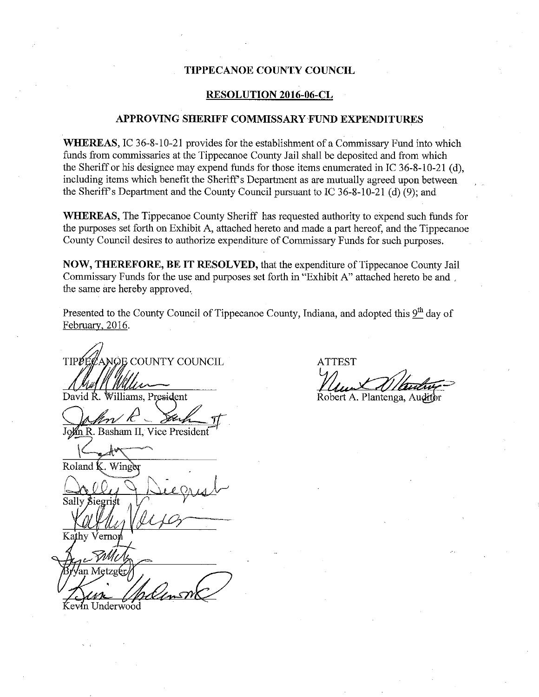### TIPPECANOE COUNTY COUNCIL

### RESOLUTION 2016-06-CL

#### APPROVING SHERIFF COMMISSARY-FUND EXPENDITURES

WHEREAS, IC 36-8-10-21 provides for the establishment of a Commissary Fund into which funds from commissaries at the Tippecanoe County Jail shall be deposited and from which the Sheriff or his designee may expend funds for those items enumerated in IC  $36-8-10-21$  (d), including items which benefit the Sheriff's Department as are mutually agreed upon between the Sheriff's Department and the County Council pursuant to IC 36-8-10-21 (d)(9); and

WHEREAS, The Tippecanoe County Sheriff has requested authority to expend such funds for the purposes set forth on Exhibit A, attached hereto and made <sup>a</sup> part hereof, and the Tippecanoe County Council desires to authorize expenditure of Commissary Funds for such purposes.

NOW, THEREFORE, BE IT RESOLVED, that the expenditure of Tippecanoe County Jail Commissary Funds for the use and purposes set forth in "Exhibit A" attached hereto be and ., the same are hereby approved,

Presented to the County Council of Tippecanoe County, Indiana, and adopted this 9<sup>th</sup> day of February, 2016.

TIPEECANOE COUNTY COUNCIL ATTEST  $W$  .  $W$  .  $W$  .  $W$  .  $W$  .  $W$  .  $W$  .  $W$  .  $W$  .  $W$  .  $W$  .  $W$  .  $W$  .  $W$  .  $W$  .  $W$  .  $W$  .  $W$  .  $W$  .  $W$  .  $W$  .  $W$  .  $W$  .  $W$  .  $W$  .  $W$  .  $W$  .  $W$  .  $W$  .  $W$  .  $W$  .  $W$  .  $W$  .  $W$  .  $W$  .  $W$  .  $W$  .

David R. Williams, President and Robert A. Plantenga, Audit

John R. Basham II, Vice President

Winger

 $\triangle$  $\Box$ Sally *Siegriss* an Metzg  $\mathcal{U}\mathcal{U}$  for  $\mathcal{V}\mathcal{U}$ 

Underwood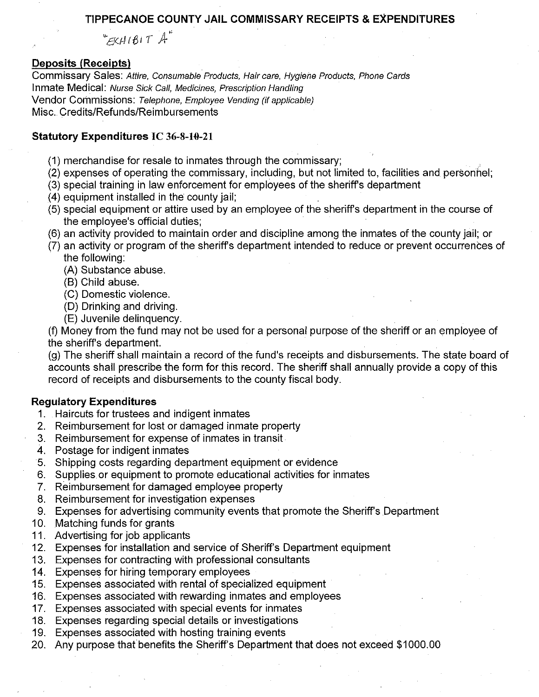### TIPPECANOE COUNTY JAIL COMMISSARY RECEIPTS & EXPENDITURES

 $KHH(B)T$ <sup>"</sup>

# **Deposits (Receipts)**

Commissary Sales: Attire, Consumable Products, Hair care, Hygiene Products, Phone Cards Inmate Medical: Nurse Sick Call, Medicines, Prescription Handling Vendor Commissions: Telephone, Employee Vending (if applicable) Misc. Credits/Refunds/Reimbursements

# Statutory Expenditures IC 36-8-10-21

- (1) merchandise for resale to inmates through the commissary;
- (2) expenses of operating the commissary, including, but not limited to, facilities and personnel;
- (3) special training in law enforcement for employees of the sheriff's department
- (4) equipment installed in the county jail;
- (5) special equipment or attire used by an employee of the sheriff's department in the course of the employee's official duties;
- (6) an activity provided to maintain order and discipline among the inmates of the county jail; or
- (7) an activity or program of the sheriff's department intended to reduce or prevent occurrences of the following:
	- (A) Substance abuse.
	- (B) Child abuse.
	- (C) Domestic violence.
	- (D) Drinking and driving.
	- (E) Juvenile delinquency.

(f) Money from the fund may not be used for a personal purpose of the sheriff or an employee of the sheriff's department.

(g) The sheriff shall maintain a record of the fund's receipts and disbursements. The state board of accounts shall prescribe the form for this record. The sheriff shall annually provide a copy of this record of receipts and disbursements to the county fiscal body.

### **Regulatory Expenditures**

- 1. Haircuts for trustees and indigent inmates
- 2. Reimbursement for lost or damaged inmate property
- 3. Reimbursement for expense of inmates in transit.
- 4. Postage for indigent inmates
- 5. Shipping costs regarding department equipment or evidence
- 6. Supplies or equipment to promote educational activities for inmates
- 7. Reimbursement for damaged employee property
- 8. Reimbursement for investigation expenses
- 9. Expenses for advertising community events that promote the Sheriff's Department
- 10. Matching funds for grants
- 11. Advertising for job applicants
- 12. Expenses for installation and service of Sheriff's Department equipment
- 13. Expenses for contracting with professional consultants
- 14. Expenses for hiring temporary employees
- 15. Expenses associated with rental of specialized equipment
- 16. Expenses associated with rewarding inmates and employees
- 17. Expenses associated with special events for inmates
- 18. Expenses regarding special details or investigations
- 19. Expenses associated with hosting training events
- 20. Any purpose that benefits the Sheriff's Department that does not exceed \$1000.00